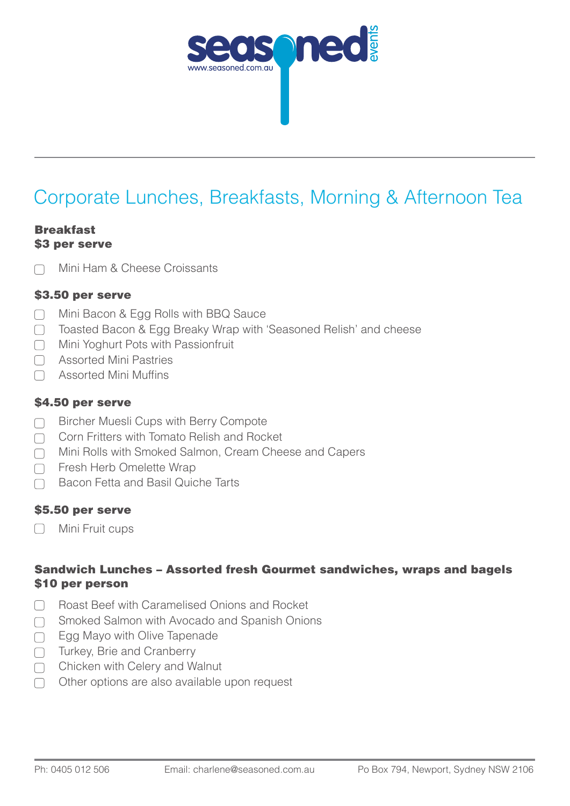

# Corporate Lunches, Breakfasts, Morning & Afternoon Tea

#### Breakfast \$3 per serve

Mini Ham & Cheese Croissants

## \$3.50 per serve

- Mini Bacon & Egg Rolls with BBQ Sauce  $\Box$
- ◯ Toasted Bacon & Egg Breaky Wrap with 'Seasoned Relish' and cheese
- **Mini Yoghurt Pots with Passionfruit**
- □ Assorted Mini Pastries
- □ Assorted Mini Muffins

## \$4.50 per serve

- $\Box$ Bircher Muesli Cups with Berry Compote
- Corn Fritters with Tomato Relish and Rocket  $\Box$
- Mini Rolls with Smoked Salmon, Cream Cheese and Capers  $\Box$
- □ Fresh Herb Omelette Wrap
- Bacon Fetta and Basil Quiche Tarts

## \$5.50 per serve

Mini Fruit cups

## Sandwich Lunches – Assorted fresh Gourmet sandwiches, wraps and bagels \$10 per person

- Roast Beef with Caramelised Onions and Rocket  $\Box$
- Smoked Salmon with Avocado and Spanish Onions  $\Box$
- Egg Mayo with Olive Tapenade  $\Box$
- Turkey, Brie and Cranberry  $\Box$
- Chicken with Celery and Walnut  $\Box$
- Other options are also available upon request  $\Box$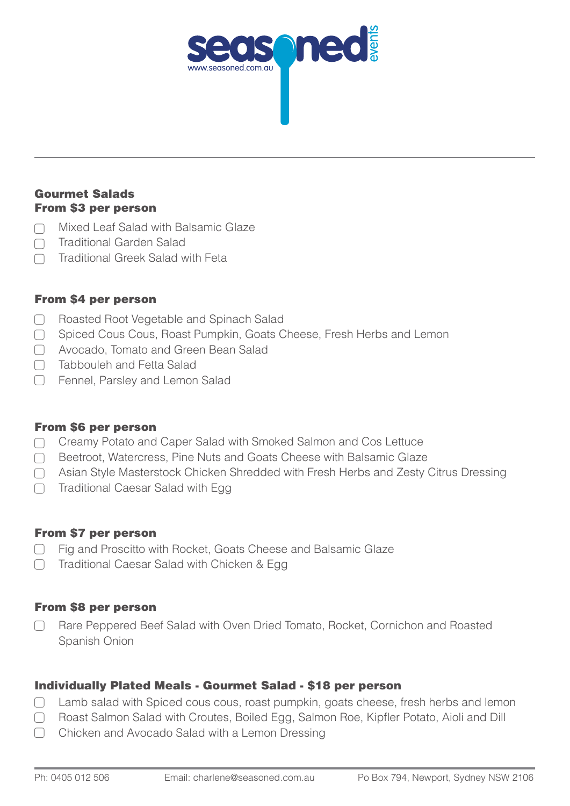

## Gourmet Salads From \$3 per person

- Mixed Leaf Salad with Balsamic Glaze  $\Box$
- Traditional Garden Salad  $\Box$
- Traditional Greek Salad with Feta

# From \$4 per person

- Roasted Root Vegetable and Spinach Salad  $\Box$
- $\Box$ Spiced Cous Cous, Roast Pumpkin, Goats Cheese, Fresh Herbs and Lemon
- Avocado, Tomato and Green Bean Salad
- Tabbouleh and Fetta Salad  $\Box$
- **Fennel, Parsley and Lemon Salad**

## From \$6 per person

- ◯ Creamy Potato and Caper Salad with Smoked Salmon and Cos Lettuce
- □ Beetroot, Watercress, Pine Nuts and Goats Cheese with Balsamic Glaze
- ◯ Asian Style Masterstock Chicken Shredded with Fresh Herbs and Zesty Citrus Dressing
- $\bigcap$  Traditional Caesar Salad with Egg

# From \$7 per person

- □ Fig and Proscitto with Rocket, Goats Cheese and Balsamic Glaze
- □ Traditional Caesar Salad with Chicken & Egg

# From \$8 per person

Rare Peppered Beef Salad with Oven Dried Tomato, Rocket, Cornichon and Roasted Spanish Onion

# Individually Plated Meals - Gourmet Salad - \$18 per person

- Lamb salad with Spiced cous cous, roast pumpkin, goats cheese, fresh herbs and lemon  $\Box$
- Roast Salmon Salad with Croutes, Boiled Egg, Salmon Roe, Kipfler Potato, Aioli and Dill
- Chicken and Avocado Salad with a Lemon Dressing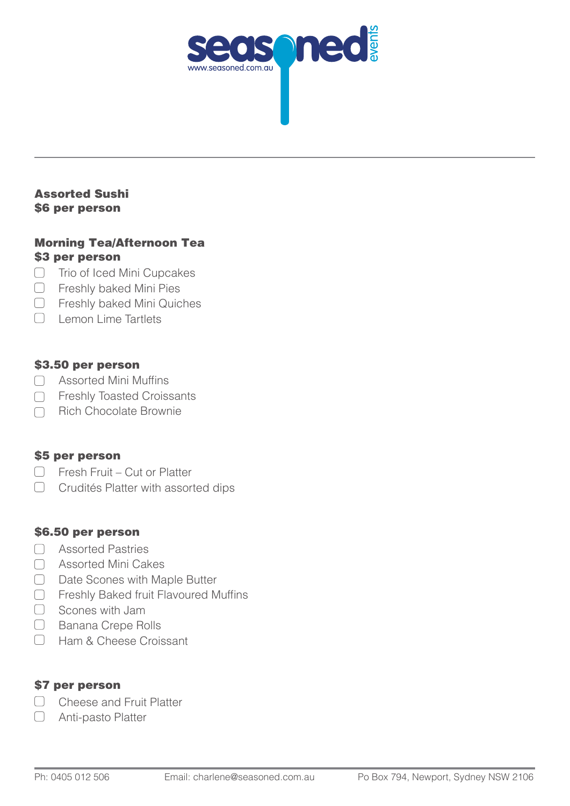

#### Assorted Sushi \$6 per person

## Morning Tea/Afternoon Tea \$3 per person

- □ Trio of Iced Mini Cupcakes
- **C** Freshly baked Mini Pies
- Freshly baked Mini Quiches
- C Lemon Lime Tartlets

## \$3.50 per person

- Assorted Mini Muffins
- □ Freshly Toasted Croissants
- Rich Chocolate Brownie  $\Box$

#### \$5 per person

- □ Fresh Fruit Cut or Platter
- C Crudités Platter with assorted dips

## \$6.50 per person

- □ Assorted Pastries
- □ Assorted Mini Cakes
- □ Date Scones with Maple Butter
- □ Freshly Baked fruit Flavoured Muffins
- Scones with Jam
- **Banana Crepe Rolls**
- Ham & Cheese Croissant

## \$7 per person

- C Cheese and Fruit Platter
- $\Box$ Anti-pasto Platter